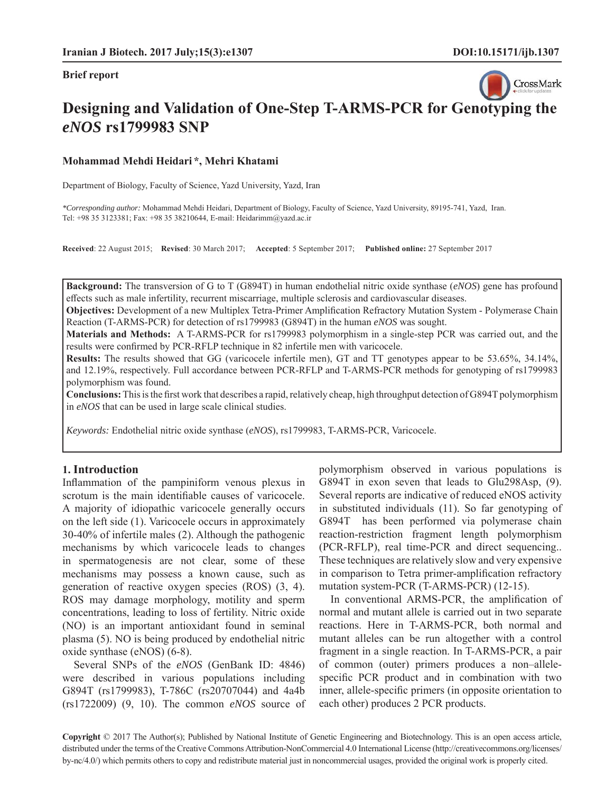

# **Designing and Validation of One-Step T-ARMS-PCR for Ge[notyping the](http://crossmark.crossref.org/dialog/?doi=10.15171/ijb.1307&domain=pdf&date_stamp=2017-09-27)**  *eNOS* **rs1799983 SNP**

#### **Mohammad Mehdi Heidari \*, Mehri Khatami**

Department of Biology, Faculty of Science, Yazd University, Yazd, Iran

*\*Corresponding author:* Mohammad Mehdi Heidari, Department of Biology, Faculty of Science, Yazd University, 89195-741, Yazd, Iran. Tel: +98 35 3123381; Fax: +98 35 38210644, E-mail: Heidarimm@yazd.ac.ir

**Received**: 22 August 2015; **Revised**: 30 March 2017; **Accepted**: 5 September 2017; **Published online:** 27 September 2017

**Background:** The transversion of G to T (G894T) in human endothelial nitric oxide synthase (*eNOS*) gene has profound effects such as male infertility, recurrent miscarriage, multiple sclerosis and cardiovascular diseases.

**Objectives:** Development of a new Multiplex Tetra-Primer Amplification Refractory Mutation System - Polymerase Chain Reaction (T-ARMS-PCR) for detection of rs1799983 (G894T) in the human *eNOS* was sought.

**Materials and Methods:** A T-ARMS-PCR for rs1799983 polymorphism in a single-step PCR was carried out, and the results were confirmed by PCR-RFLP technique in 82 infertile men with varicocele.

**Results:** The results showed that GG (varicocele infertile men), GT and TT genotypes appear to be 53.65%, 34.14%, and 12.19%, respectively. Full accordance between PCR-RFLP and T-ARMS-PCR methods for genotyping of rs1799983 polymorphism was found.

**Conclusions:** This is the first work that describes a rapid, relatively cheap, high throughput detection of G894T polymorphism in *eNOS* that can be used in large scale clinical studies.

*Keywords:* Endothelial nitric oxide synthase (*eNOS*), rs1799983, T-ARMS-PCR, Varicocele.

#### **1. Introduction**

Inflammation of the pampiniform venous plexus in scrotum is the main identifiable causes of varicocele. A majority of idiopathic varicocele generally occurs on the left side (1). Varicocele occurs in approximately 30-40% of infertile males (2). Although the pathogenic mechanisms by which varicocele leads to changes in spermatogenesis are not clear, some of these mechanisms may possess a known cause, such as generation of reactive oxygen species (ROS) (3, 4). ROS may damage morphology, motility and sperm concentrations, leading to loss of fertility. Nitric oxide (NO) is an important antioxidant found in seminal plasma (5). NO is being produced by endothelial nitric oxide synthase (eNOS) (6-8).

Several SNPs of the *eNOS* (GenBank ID: 4846) were described in various populations including G894T (rs1799983), T-786C (rs20707044) and 4a4b (rs1722009) (9, 10). The common *eNOS* source of polymorphism observed in various populations is G894T in exon seven that leads to Glu298Asp, (9). Several reports are indicative of reduced eNOS activity in substituted individuals (11). So far genotyping of G894T has been performed via polymerase chain reaction-restriction fragment length polymorphism (PCR-RFLP), real time-PCR and direct sequencing.. These techniques are relatively slow and very expensive in comparison to Tetra primer-amplification refractory mutation system-PCR (T-ARMS-PCR) (12-15).

In conventional ARMS-PCR, the amplification of normal and mutant allele is carried out in two separate reactions. Here in T-ARMS-PCR, both normal and mutant alleles can be run altogether with a control fragment in a single reaction. In T-ARMS-PCR, a pair of common (outer) primers produces a non–allelespecific PCR product and in combination with two inner, allele-specific primers (in opposite orientation to each other) produces 2 PCR products.

**Copyright** © 2017 The Author(s); Published by National Institute of Genetic Engineering and Biotechnology. This is an open access article, distributed under the terms of the Creative Commons Attribution-NonCommercial 4.0 International License (http://creativecommons.org/licenses/ by-nc/4.0/) which permits others to copy and redistribute material just in noncommercial usages, provided the original work is properly cited.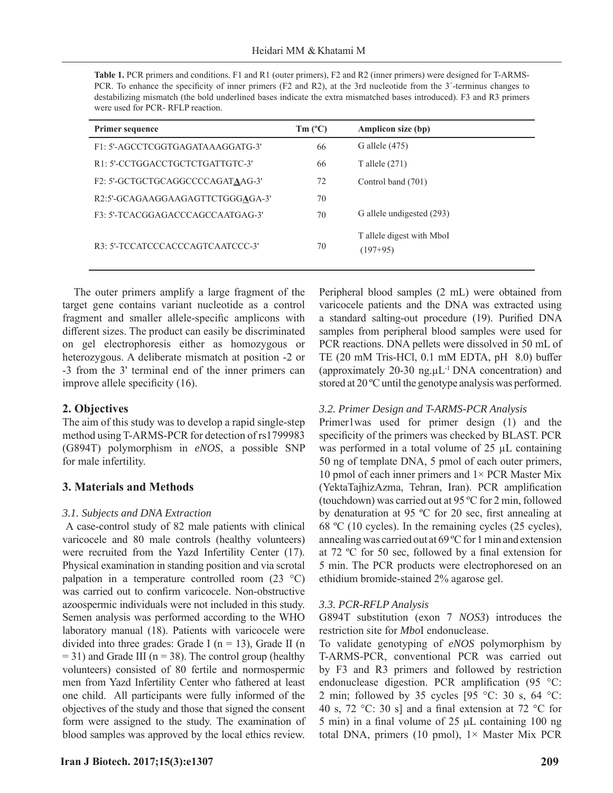| <b>Table 1.</b> PCR primers and conditions. F1 and R1 (outer primers), F2 and R2 (inner primers) were designed for T-ARMS- |
|----------------------------------------------------------------------------------------------------------------------------|
| PCR. To enhance the specificity of inner primers (F2 and R2), at the 3rd nucleotide from the 3'-terminus changes to        |
| destabilizing mismatch (the bold underlined bases indicate the extra mismatched bases introduced). F3 and R3 primers       |
| were used for PCR - RFLP reaction.                                                                                         |

| <b>Primer sequence</b>           | $Tm(^{\circ}C)$ | Amplicon size (bp)                      |
|----------------------------------|-----------------|-----------------------------------------|
| F1: 5'-AGCCTCGGTGAGATAAAGGATG-3' | 66              | G allele (475)                          |
| R1: 5'-CCTGGACCTGCTCTGATTGTC-3'  | 66              | T allele $(271)$                        |
| F2: 5'-GCTGCTGCAGGCCCCAGATAAG-3' | 72              | Control band (701)                      |
| R2:5'-GCAGAAGGAAGAGTTCTGGGAGA-3' | 70              |                                         |
| F3: 5'-TCACGGAGACCCAGCCAATGAG-3' | 70              | G allele undigested (293)               |
| R3: 5'-TCCATCCCACCCAGTCAATCCC-3' | 70              | T allele digest with MboI<br>$(197+95)$ |

The outer primers amplify a large fragment of the target gene contains variant nucleotide as a control fragment and smaller allele-specific amplicons with different sizes. The product can easily be discriminated on gel electrophoresis either as homozygous or heterozygous. A deliberate mismatch at position -2 or -3 from the 3' terminal end of the inner primers can improve allele specificity  $(16)$ .

## **2. Objectives**

The aim of this study was to develop a rapid single-step method using T-ARMS-PCR for detection of rs1799983 (G894T) polymorphism in *eNOS*, a possible SNP for male infertility.

## **3. Materials and Methods**

## *3.1. Subjects and DNA Extraction*

 A case-control study of 82 male patients with clinical varicocele and 80 male controls (healthy volunteers) were recruited from the Yazd Infertility Center (17). Physical examination in standing position and via scrotal palpation in a temperature controlled room  $(23 \text{ °C})$ was carried out to confirm varicocele. Non-obstructive azoospermic individuals were not included in this study. Semen analysis was performed according to the WHO laboratory manual (18). Patients with varicocele were divided into three grades: Grade I ( $n = 13$ ), Grade II ( $n = 13$ )  $= 31$ ) and Grade III (n  $= 38$ ). The control group (healthy volunteers) consisted of 80 fertile and normospermic men from Yazd Infertility Center who fathered at least one child. All participants were fully informed of the objectives of the study and those that signed the consent form were assigned to the study. The examination of blood samples was approved by the local ethics review.

Peripheral blood samples (2 mL) were obtained from varicocele patients and the DNA was extracted using a standard salting-out procedure (19). Purified DNA samples from peripheral blood samples were used for PCR reactions. DNA pellets were dissolved in 50 mL of TE (20 mM Tris-HCl,  $0.1$  mM EDTA, pH  $8.0$ ) buffer (approximately 20-30 ng. $\mu L^{-1}$  DNA concentration) and stored at 20 ºC until the genotype analysis was performed.

## *3.2. Primer Design and T-ARMS-PCR Analysis*

Primer1was used for primer design (1) and the specificity of the primers was checked by BLAST. PCR was performed in a total volume of 25 μL containing 50 ng of template DNA, 5 pmol of each outer primers, 10 pmol of each inner primers and  $1 \times PCR$  Master Mix (YektaTajhizAzma, Tehran, Iran). PCR amplification (touchdown) was carried out at 95 ºC for 2 min, followed by denaturation at 95  $\degree$ C for 20 sec, first annealing at 68 ºC (10 cycles). In the remaining cycles (25 cycles), annealing was carried out at 69 ºC for 1 min and extension at 72  $\degree$ C for 50 sec, followed by a final extension for 5 min. The PCR products were electrophoresed on an ethidium bromide-stained 2% agarose gel.

## *3.3. PCR-RFLP Analysis*

G894T substitution (exon 7 *NOS3*) introduces the restriction site for *Mbo*I endonuclease.

To validate genotyping of *eNOS* polymorphism by T-ARMS-PCR, conventional PCR was carried out by F3 and R3 primers and followed by restriction endonuclease digestion. PCR amplification (95  $\degree$ C: 2 min; followed by 35 cycles [95  $\degree$ C: 30 s, 64  $\degree$ C: 40 s, 72 °C: 30 s] and a final extension at 72 °C for 5 min) in a final volume of  $25 \mu L$  containing 100 ng total DNA, primers (10 pmol),  $1 \times$  Master Mix PCR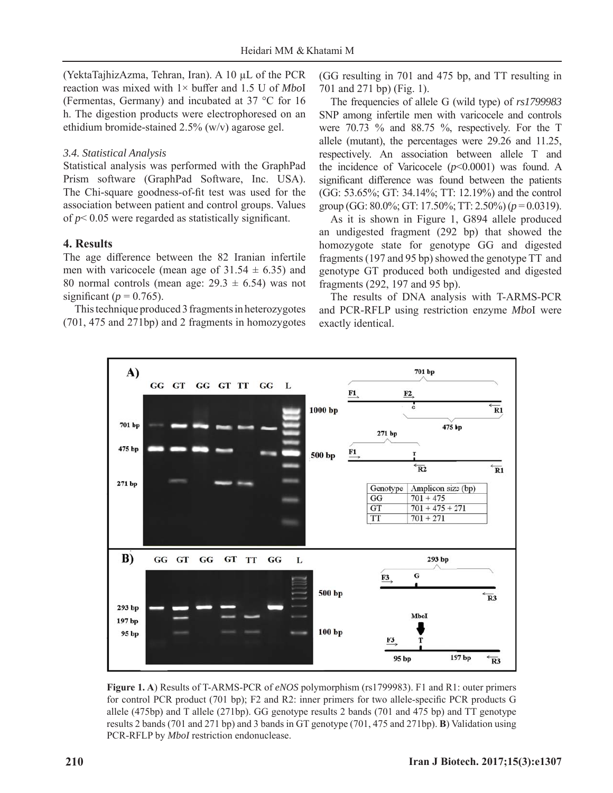(YektaTajhizAzma, Tehran, Iran). A 10 μL of the PCR reaction was mixed with 1× buffer and 1.5 U of *Mbo*I (Fermentas, Germany) and incubated at 37 °C for 16 h. The digestion products were electrophoresed on an ethidium bromide-stained 2.5% (w/v) agarose gel.

## *3.4. Statistical Analysis*

Statistical analysis was performed with the GraphPad Prism software (GraphPad Software, Inc. USA). The Chi-square goodness-of-fit test was used for the association between patient and control groups. Values of  $p$ < 0.05 were regarded as statistically significant.

## **4. Results**

The age difference between the 82 Iranian infertile men with varicocele (mean age of  $31.54 \pm 6.35$ ) and 80 normal controls (mean age:  $29.3 \pm 6.54$ ) was not significant ( $p = 0.765$ ).

This technique produced 3 fragments in heterozygotes (701, 475 and 271bp) and 2 fragments in homozygotes (GG resulting in 701 and 475 bp, and TT resulting in 701 and 271 bp) (Fig. 1).

The frequencies of allele G (wild type) of *rs1799983*  SNP among infertile men with varicocele and controls were 70.73 % and 88.75 %, respectively. For the T allele (mutant), the percentages were 29.26 and 11.25, respectively. An association between allele T and the incidence of Varicocele  $(p<0.0001)$  was found. A significant difference was found between the patients (GG: 53.65%; GT: 34.14%; TT: 12.19%) and the control group (GG: 80.0%; GT: 17.50%; TT: 2.50%) (*p* = 0.0319).

As it is shown in Figure 1, G894 allele produced an undigested fragment (292 bp) that showed the homozygote state for genotype GG and digested fragments (197 and 95 bp) showed the genotype TT and genotype GT produced both undigested and digested fragments (292, 197 and 95 bp).

The results of DNA analysis with T-ARMS-PCR and PCR-RFLP using restriction enzyme *Mbo*I were exactly identical.



**Figure 1. A**) Results of T-ARMS-PCR of *eNOS* polymorphism (rs1799983). F1 and R1: outer primers for control PCR product (701 bp); F2 and R2: inner primers for two allele-specific PCR products G allele (475bp) and T allele (271bp). GG genotype results 2 bands (701 and 475 bp) and TT genotype results 2 bands (701 and 271 bp) and 3 bands in GT genotype (701, 475 and 271bp). **B**) Validation using PCR-RFLP by *MboI* restriction endonuclease.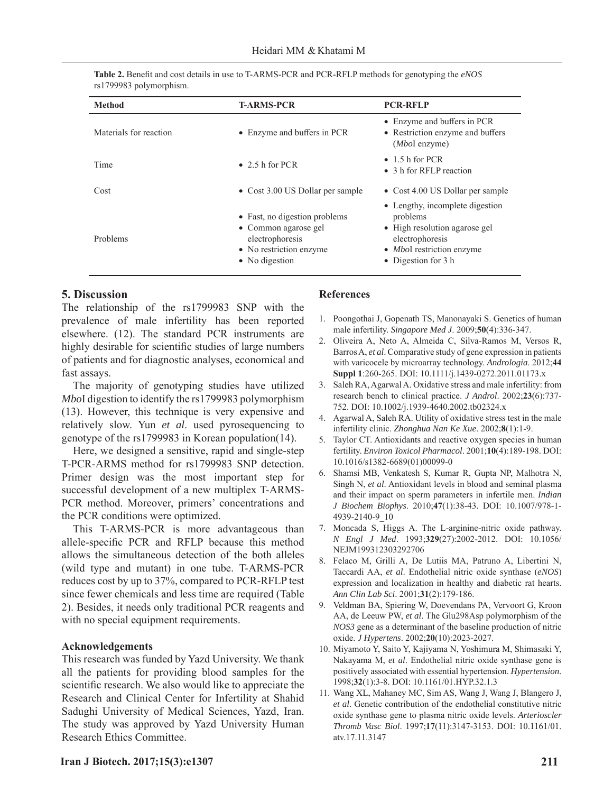| Table 2. Benefit and cost details in use to T-ARMS-PCR and PCR-RFLP methods for genotyping the eNOS |  |
|-----------------------------------------------------------------------------------------------------|--|
| rs1799983 polymorphism.                                                                             |  |

| <b>Method</b>          | <b>T-ARMS-PCR</b>                                                                                                     | <b>PCR-RFLP</b>                                                                                                                                            |
|------------------------|-----------------------------------------------------------------------------------------------------------------------|------------------------------------------------------------------------------------------------------------------------------------------------------------|
| Materials for reaction | • Enzyme and buffers in PCR                                                                                           | • Enzyme and buffers in PCR<br>• Restriction enzyme and buffers<br>$(MboI$ enzyme)                                                                         |
| Time                   | $\bullet$ 2.5 h for PCR                                                                                               | $\bullet$ 1.5 h for PCR<br>• 3 h for RFLP reaction                                                                                                         |
| Cost                   | • Cost 3.00 US Dollar per sample                                                                                      | • Cost 4.00 US Dollar per sample                                                                                                                           |
| Problems               | • Fast, no digestion problems<br>• Common agarose gel<br>electrophoresis<br>• No restriction enzyme<br>• No digestion | • Lengthy, incomplete digestion<br>problems<br>• High resolution agarose gel<br>electrophoresis<br>• <i>MboI</i> restriction enzyme<br>• Digestion for 3 h |

## **5. Discussion**

The relationship of the rs1799983 SNP with the prevalence of male infertility has been reported elsewhere. (12). The standard PCR instruments are highly desirable for scientific studies of large numbers of patients and for diagnostic analyses, economical and fast assays.

The majority of genotyping studies have utilized *Mbo*I digestion to identify the rs1799983 polymorphism (13). However, this technique is very expensive and relatively slow. Yun *et al*. used pyrosequencing to genotype of the rs1799983 in Korean population(14).

Here, we designed a sensitive, rapid and single-step T-PCR-ARMS method for rs1799983 SNP detection. Primer design was the most important step for successful development of a new multiplex T-ARMS-PCR method. Moreover, primers' concentrations and the PCR conditions were optimized.

This T-ARMS-PCR is more advantageous than allele-specific PCR and RFLP because this method allows the simultaneous detection of the both alleles (wild type and mutant) in one tube. T-ARMS-PCR reduces cost by up to 37%, compared to PCR-RFLP test since fewer chemicals and less time are required (Table 2). Besides, it needs only traditional PCR reagents and with no special equipment requirements.

#### **Acknowledgements**

This research was funded by Yazd University. We thank all the patients for providing blood samples for the scientific research. We also would like to appreciate the Research and Clinical Center for Infertility at Shahid Sadughi University of Medical Sciences, Yazd, Iran. The study was approved by Yazd University Human Research Ethics Committee.

#### **References**

- 1. Poongothai J, Gopenath TS, Manonayaki S. Genetics of human male infertility. *Singapore Med J*. 2009;**50**(4):336-347.
- 2. Oliveira A, Neto A, Almeida C, Silva-Ramos M, Versos R, Barros A, *et al*. Comparative study of gene expression in patients with varicocele by microarray technology. *Andrologia*. 2012;**44 Suppl 1**:260-265. DOI: 10.1111/j.1439-0272.2011.01173.x
- 3. Saleh RA, Agarwal A. Oxidative stress and male infertility: from research bench to clinical practice. *J Androl*. 2002;**23**(6):737- 752. DOI: 10.1002/j.1939-4640.2002.tb02324.x
- 4. Agarwal A, Saleh RA. Utility of oxidative stress test in the male infertility clinic. *Zhonghua Nan Ke Xue*. 2002;**8**(1):1-9.
- 5. Taylor CT. Antioxidants and reactive oxygen species in human fertility. *Environ Toxicol Pharmacol*. 2001;**10**(4):189-198. DOI: 10.1016/s1382-6689(01)00099-0
- 6. Shamsi MB, Venkatesh S, Kumar R, Gupta NP, Malhotra N, Singh N, *et al*. Antioxidant levels in blood and seminal plasma and their impact on sperm parameters in infertile men. *Indian J Biochem Biophys*. 2010;**47**(1):38-43. DOI: 10.1007/978-1- 4939-2140-9\_10
- 7. Moncada S, Higgs A. The L-arginine-nitric oxide pathway. *N Engl J Med*. 1993;**329**(27):2002-2012. DOI: 10.1056/ NEJM199312303292706
- 8. Felaco M, Grilli A, De Lutiis MA, Patruno A, Libertini N, Taccardi AA, *et al*. Endothelial nitric oxide synthase (*eNOS*) expression and localization in healthy and diabetic rat hearts. *Ann Clin Lab Sci*. 2001;**31**(2):179-186.
- 9. Veldman BA, Spiering W, Doevendans PA, Vervoort G, Kroon AA, de Leeuw PW, *et al*. The Glu298Asp polymorphism of the *NOS3* gene as a determinant of the baseline production of nitric oxide. *J Hypertens*. 2002;**20**(10):2023-2027.
- 10. Miyamoto Y, Saito Y, Kajiyama N, Yoshimura M, Shimasaki Y, Nakayama M, *et al*. Endothelial nitric oxide synthase gene is positively associated with essential hypertension. *Hypertension*. 1998;**32**(1):3-8. DOI: 10.1161/01.HYP.32.1.3
- 11. Wang XL, Mahaney MC, Sim AS, Wang J, Wang J, Blangero J, *et al*. Genetic contribution of the endothelial constitutive nitric oxide synthase gene to plasma nitric oxide levels. *Arterioscler Thromb Vasc Biol*. 1997;**17**(11):3147-3153. DOI: 10.1161/01. atv.17.11.3147